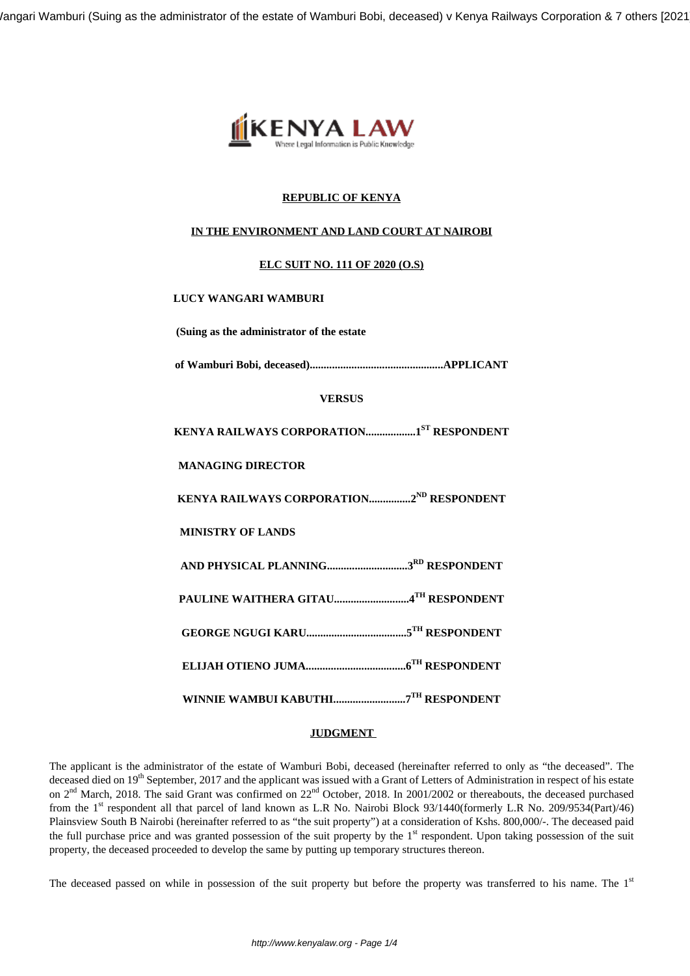/angari Wamburi (Suing as the administrator of the estate of Wamburi Bobi, deceased) v Kenya Railways Corporation & 7 others [2021



# **REPUBLIC OF KENYA**

# **IN THE ENVIRONMENT AND LAND COURT AT NAIROBI**

## **ELC SUIT NO. 111 OF 2020 (O.S)**

## **LUCY WANGARI WAMBURI**

**(Suing as the administrator of the estate**

**of Wamburi Bobi, deceased)................................................APPLICANT**

### **VERSUS**

**KENYA RAILWAYS CORPORATION..................1ST RESPONDENT**

**MANAGING DIRECTOR**

**KENYA RAILWAYS CORPORATION...............2ND RESPONDENT**

**MINISTRY OF LANDS**

**AND PHYSICAL PLANNING.............................3RD RESPONDENT**

**PAULINE WAITHERA GITAU...........................4TH RESPONDENT**

**GEORGE NGUGI KARU....................................5TH RESPONDENT**

**ELIJAH OTIENO JUMA....................................6TH RESPONDENT**

**WINNIE WAMBUI KABUTHI..........................7TH RESPONDENT**

# **JUDGMENT**

The applicant is the administrator of the estate of Wamburi Bobi, deceased (hereinafter referred to only as "the deceased". The deceased died on 19<sup>th</sup> September, 2017 and the applicant was issued with a Grant of Letters of Administration in respect of his estate on 2<sup>nd</sup> March, 2018. The said Grant was confirmed on 22<sup>nd</sup> October, 2018. In 2001/2002 or thereabouts, the deceased purchased from the 1<sup>st</sup> respondent all that parcel of land known as L.R No. Nairobi Block 93/1440(formerly L.R No. 209/9534(Part)/46) Plainsview South B Nairobi (hereinafter referred to as "the suit property") at a consideration of Kshs. 800,000/-. The deceased paid the full purchase price and was granted possession of the suit property by the  $1<sup>st</sup>$  respondent. Upon taking possession of the suit property, the deceased proceeded to develop the same by putting up temporary structures thereon.

The deceased passed on while in possession of the suit property but before the property was transferred to his name. The 1<sup>st</sup>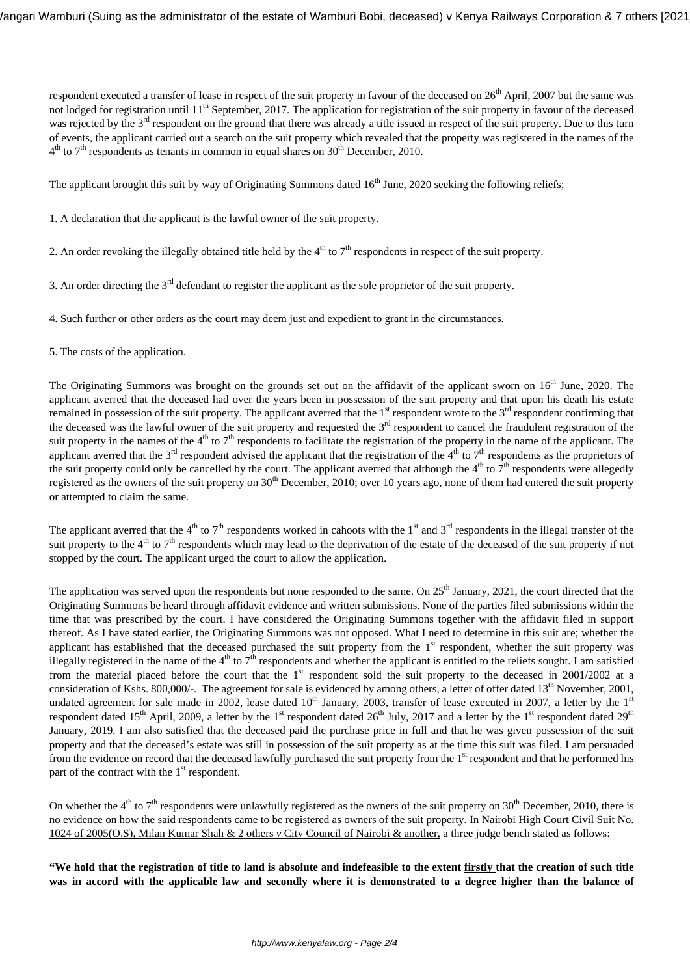respondent executed a transfer of lease in respect of the suit property in favour of the deceased on 26<sup>th</sup> April, 2007 but the same was not lodged for registration until 11<sup>th</sup> September, 2017. The application for registration of the suit property in favour of the deceased was rejected by the 3<sup>rd</sup> respondent on the ground that there was already a title issued in respect of the suit property. Due to this turn of events, the applicant carried out a search on the suit property which revealed that the property was registered in the names of the  $4<sup>th</sup>$  to 7<sup>th</sup> respondents as tenants in common in equal shares on 30<sup>th</sup> December, 2010.

The applicant brought this suit by way of Originating Summons dated  $16<sup>th</sup>$  June, 2020 seeking the following reliefs;

1. A declaration that the applicant is the lawful owner of the suit property.

- 2. An order revoking the illegally obtained title held by the  $4<sup>th</sup>$  to  $7<sup>th</sup>$  respondents in respect of the suit property.
- 3. An order directing the 3rd defendant to register the applicant as the sole proprietor of the suit property.
- 4. Such further or other orders as the court may deem just and expedient to grant in the circumstances.
- 5. The costs of the application.

The Originating Summons was brought on the grounds set out on the affidavit of the applicant sworn on  $16<sup>th</sup>$  June, 2020. The applicant averred that the deceased had over the years been in possession of the suit property and that upon his death his estate remained in possession of the suit property. The applicant averred that the  $1<sup>st</sup>$  respondent wrote to the  $3<sup>rd</sup>$  respondent confirming that the deceased was the lawful owner of the suit property and requested the 3<sup>rd</sup> respondent to cancel the fraudulent registration of the suit property in the names of the 4<sup>th</sup> to 7<sup>th</sup> respondents to facilitate the registration of the property in the name of the applicant. The applicant averred that the  $3^{rd}$  respondent advised the applicant that the registration of the  $4^{th}$  to  $7^{th}$  respondents as the proprietors of the suit property could only be cancelled by the court. The applicant averred that although the  $4<sup>th</sup>$  to  $7<sup>th</sup>$  respondents were allegedly registered as the owners of the suit property on  $30<sup>th</sup>$  December, 2010; over 10 years ago, none of them had entered the suit property or attempted to claim the same.

The applicant averred that the 4<sup>th</sup> to 7<sup>th</sup> respondents worked in cahoots with the 1<sup>st</sup> and 3<sup>rd</sup> respondents in the illegal transfer of the suit property to the 4<sup>th</sup> to 7<sup>th</sup> respondents which may lead to the deprivation of the estate of the deceased of the suit property if not stopped by the court. The applicant urged the court to allow the application.

The application was served upon the respondents but none responded to the same. On  $25<sup>th</sup>$  January, 2021, the court directed that the Originating Summons be heard through affidavit evidence and written submissions. None of the parties filed submissions within the time that was prescribed by the court. I have considered the Originating Summons together with the affidavit filed in support thereof. As I have stated earlier, the Originating Summons was not opposed. What I need to determine in this suit are; whether the applicant has established that the deceased purchased the suit property from the  $1<sup>st</sup>$  respondent, whether the suit property was illegally registered in the name of the  $4<sup>th</sup>$  to  $7<sup>th</sup>$  respondents and whether the applicant is entitled to the reliefs sought. I am satisfied from the material placed before the court that the  $1<sup>st</sup>$  respondent sold the suit property to the deceased in 2001/2002 at a consideration of Kshs. 800,000/-. The agreement for sale is evidenced by among others, a letter of offer dated  $13<sup>th</sup>$  November, 2001, undated agreement for sale made in 2002, lease dated  $10^{th}$  January, 2003, transfer of lease executed in 2007, a letter by the  $1<sup>st</sup>$ respondent dated 15<sup>th</sup> April, 2009, a letter by the 1<sup>st</sup> respondent dated 26<sup>th</sup> July, 2017 and a letter by the 1<sup>st</sup> respondent dated 29<sup>th</sup> January, 2019. I am also satisfied that the deceased paid the purchase price in full and that he was given possession of the suit property and that the deceased's estate was still in possession of the suit property as at the time this suit was filed. I am persuaded from the evidence on record that the deceased lawfully purchased the suit property from the 1<sup>st</sup> respondent and that he performed his part of the contract with the  $1<sup>st</sup>$  respondent.

On whether the  $4<sup>th</sup>$  to  $7<sup>th</sup>$  respondents were unlawfully registered as the owners of the suit property on 30<sup>th</sup> December, 2010, there is no evidence on how the said respondents came to be registered as owners of the suit property. In Nairobi High Court Civil Suit No. 1024 of 2005(O.S), Milan Kumar Shah & 2 others *v* City Council of Nairobi & another, a three judge bench stated as follows:

**"We hold that the registration of title to land is absolute and indefeasible to the extent firstly that the creation of such title was in accord with the applicable law and secondly where it is demonstrated to a degree higher than the balance of**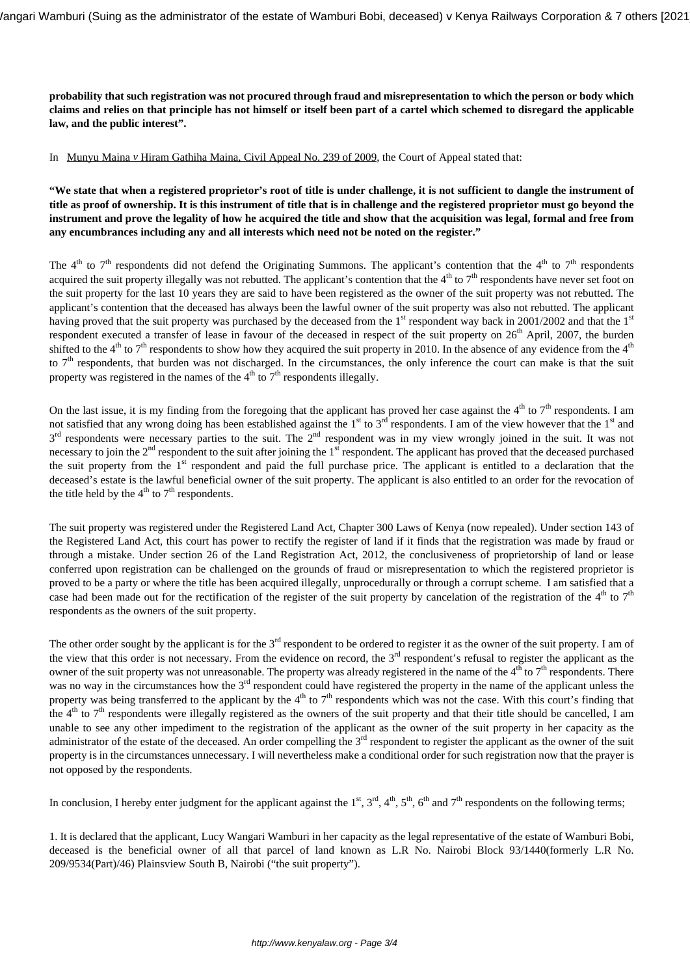**probability that such registration was not procured through fraud and misrepresentation to which the person or body which claims and relies on that principle has not himself or itself been part of a cartel which schemed to disregard the applicable law, and the public interest".** 

In Munyu Maina *v* Hiram Gathiha Maina, Civil Appeal No. 239 of 2009, the Court of Appeal stated that:

**"We state that when a registered proprietor's root of title is under challenge, it is not sufficient to dangle the instrument of title as proof of ownership. It is this instrument of title that is in challenge and the registered proprietor must go beyond the instrument and prove the legality of how he acquired the title and show that the acquisition was legal, formal and free from any encumbrances including any and all interests which need not be noted on the register."**

The  $4<sup>th</sup>$  to  $7<sup>th</sup>$  respondents did not defend the Originating Summons. The applicant's contention that the  $4<sup>th</sup>$  to  $7<sup>th</sup>$  respondents acquired the suit property illegally was not rebutted. The applicant's contention that the  $4<sup>th</sup>$  to  $7<sup>th</sup>$  respondents have never set foot on the suit property for the last 10 years they are said to have been registered as the owner of the suit property was not rebutted. The applicant's contention that the deceased has always been the lawful owner of the suit property was also not rebutted. The applicant having proved that the suit property was purchased by the deceased from the  $1<sup>st</sup>$  respondent way back in 2001/2002 and that the  $1<sup>st</sup>$ respondent executed a transfer of lease in favour of the deceased in respect of the suit property on  $26<sup>th</sup>$  April, 2007, the burden shifted to the  $4<sup>th</sup>$  to  $7<sup>th</sup>$  respondents to show how they acquired the suit property in 2010. In the absence of any evidence from the  $4<sup>th</sup>$ to  $7<sup>th</sup>$  respondents, that burden was not discharged. In the circumstances, the only inference the court can make is that the suit property was registered in the names of the  $4<sup>th</sup>$  to  $7<sup>th</sup>$  respondents illegally.

On the last issue, it is my finding from the foregoing that the applicant has proved her case against the  $4<sup>th</sup>$  to  $7<sup>th</sup>$  respondents. I am not satisfied that any wrong doing has been established against the  $1<sup>st</sup>$  to  $3<sup>rd</sup>$  respondents. I am of the view however that the  $1<sup>st</sup>$  and  $3<sup>rd</sup>$  respondents were necessary parties to the suit. The  $2<sup>nd</sup>$  respondent was in my view wrongly joined in the suit. It was not necessary to join the  $2<sup>nd</sup>$  respondent to the suit after joining the  $1<sup>st</sup>$  respondent. The applicant has proved that the deceased purchased the suit property from the 1<sup>st</sup> respondent and paid the full purchase price. The applicant is entitled to a declaration that the deceased's estate is the lawful beneficial owner of the suit property. The applicant is also entitled to an order for the revocation of the title held by the  $4<sup>th</sup>$  to  $7<sup>th</sup>$  respondents.

The suit property was registered under the Registered Land Act, Chapter 300 Laws of Kenya (now repealed). Under section 143 of the Registered Land Act, this court has power to rectify the register of land if it finds that the registration was made by fraud or through a mistake. Under section 26 of the Land Registration Act, 2012, the conclusiveness of proprietorship of land or lease conferred upon registration can be challenged on the grounds of fraud or misrepresentation to which the registered proprietor is proved to be a party or where the title has been acquired illegally, unprocedurally or through a corrupt scheme. I am satisfied that a case had been made out for the rectification of the register of the suit property by cancelation of the registration of the  $4<sup>th</sup>$  to  $7<sup>th</sup>$ respondents as the owners of the suit property.

The other order sought by the applicant is for the  $3<sup>rd</sup>$  respondent to be ordered to register it as the owner of the suit property. I am of the view that this order is not necessary. From the evidence on record, the  $3<sup>rd</sup>$  respondent's refusal to register the applicant as the owner of the suit property was not unreasonable. The property was already registered in the name of the  $4<sup>th</sup>$  to  $7<sup>th</sup>$  respondents. There was no way in the circumstances how the  $3<sup>rd</sup>$  respondent could have registered the property in the name of the applicant unless the property was being transferred to the applicant by the  $4<sup>th</sup>$  to  $7<sup>th</sup>$  respondents which was not the case. With this court's finding that the  $4<sup>th</sup>$  to  $7<sup>th</sup>$  respondents were illegally registered as the owners of the suit property and that their title should be cancelled, I am unable to see any other impediment to the registration of the applicant as the owner of the suit property in her capacity as the administrator of the estate of the deceased. An order compelling the 3<sup>rd</sup> respondent to register the applicant as the owner of the suit property is in the circumstances unnecessary. I will nevertheless make a conditional order for such registration now that the prayer is not opposed by the respondents.

In conclusion, I hereby enter judgment for the applicant against the  $1<sup>st</sup>$ ,  $3<sup>rd</sup>$ ,  $4<sup>th</sup>$ ,  $5<sup>th</sup>$ ,  $6<sup>th</sup>$  and  $7<sup>th</sup>$  respondents on the following terms;

1. It is declared that the applicant, Lucy Wangari Wamburi in her capacity as the legal representative of the estate of Wamburi Bobi, deceased is the beneficial owner of all that parcel of land known as L.R No. Nairobi Block 93/1440(formerly L.R No. 209/9534(Part)/46) Plainsview South B, Nairobi ("the suit property").